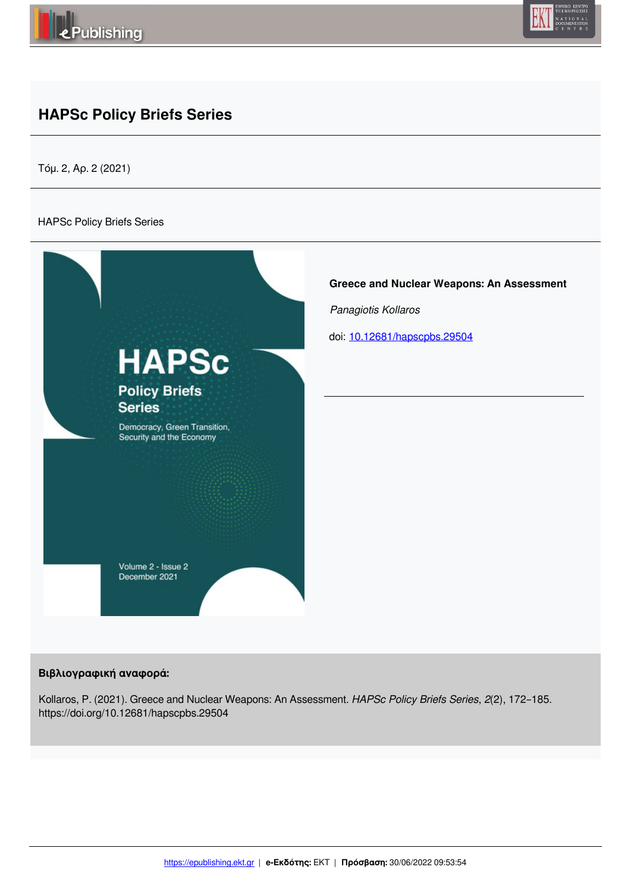



# **HAPSc Policy Briefs Series**

Τόμ. 2, Αρ. 2 (2021)

#### HAPSc Policy Briefs Series



#### **Βιβλιογραφική αναφορά:**

Kollaros, P. (2021). Greece and Nuclear Weapons: An Assessment. *HAPSc Policy Briefs Series*, *2*(2), 172–185. https://doi.org/10.12681/hapscpbs.29504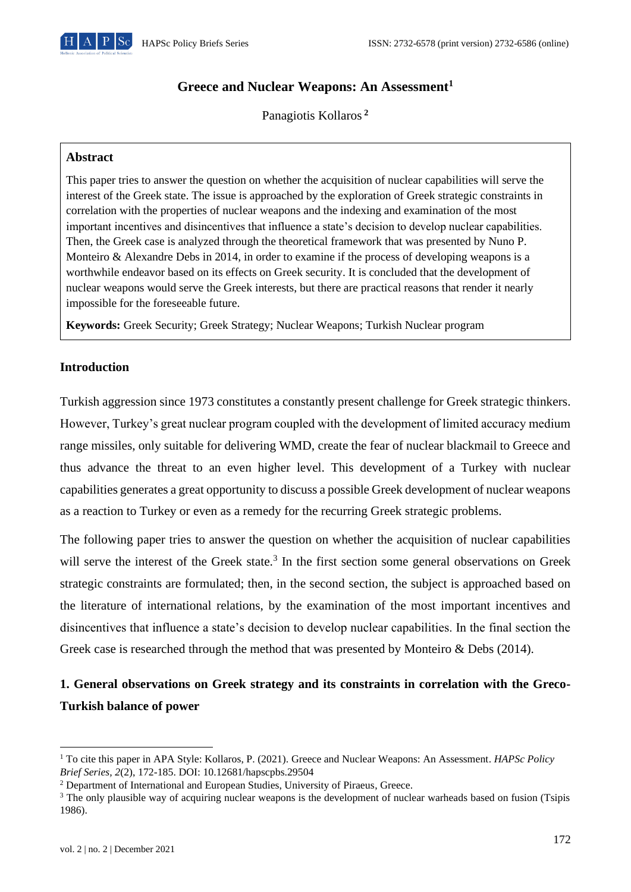

# **Greece and Nuclear Weapons: An Assessment<sup>1</sup>**

Panagiotis Kollaros **<sup>2</sup>**

#### **Abstract**

This paper tries to answer the question on whether the acquisition of nuclear capabilities will serve the interest of the Greek state. The issue is approached by the exploration of Greek strategic constraints in correlation with the properties of nuclear weapons and the indexing and examination of the most important incentives and disincentives that influence a state's decision to develop nuclear capabilities. Then, the Greek case is analyzed through the theoretical framework that was presented by Nuno P. Monteiro & Alexandre Debs in 2014, in order to examine if the process of developing weapons is a worthwhile endeavor based on its effects on Greek security. It is concluded that the development of nuclear weapons would serve the Greek interests, but there are practical reasons that render it nearly impossible for the foreseeable future.

**Keywords:** Greek Security; Greek Strategy; Nuclear Weapons; Turkish Nuclear program

### **Introduction**

Turkish aggression since 1973 constitutes a constantly present challenge for Greek strategic thinkers. However, Turkey's great nuclear program coupled with the development of limited accuracy medium range missiles, only suitable for delivering WMD, create the fear of nuclear blackmail to Greece and thus advance the threat to an even higher level. This development of a Turkey with nuclear capabilities generates a great opportunity to discuss a possible Greek development of nuclear weapons as a reaction to Turkey or even as a remedy for the recurring Greek strategic problems.

The following paper tries to answer the question on whether the acquisition of nuclear capabilities will serve the interest of the Greek state.<sup>3</sup> In the first section some general observations on Greek strategic constraints are formulated; then, in the second section, the subject is approached based on the literature of international relations, by the examination of the most important incentives and disincentives that influence a state's decision to develop nuclear capabilities. In the final section the Greek case is researched through the method that was presented by Monteiro & Debs (2014).

# **1. General observations on Greek strategy and its constraints in correlation with the Greco-Turkish balance of power**

<sup>1</sup> To cite this paper in APA Style: Kollaros, P. (2021). Greece and Nuclear Weapons: An Assessment. *HAPSc Policy Brief Series, 2*(2), 172-185. DOI: 10.12681/hapscpbs.29504

<sup>&</sup>lt;sup>2</sup> Department of International and European Studies, University of Piraeus, Greece.

<sup>&</sup>lt;sup>3</sup> The only plausible way of acquiring nuclear weapons is the development of nuclear warheads based on fusion (Tsipis 1986).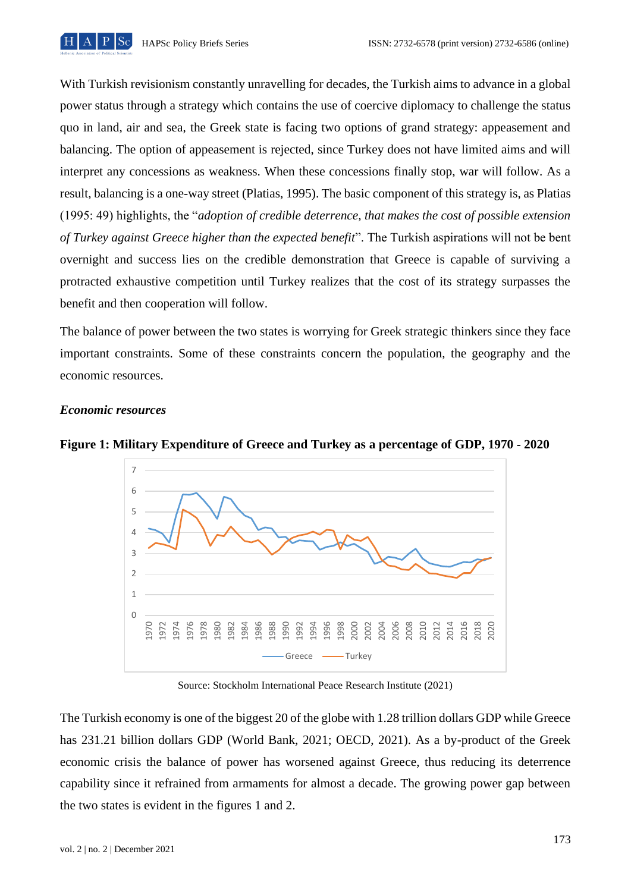

With Turkish revisionism constantly unravelling for decades, the Turkish aims to advance in a global power status through a strategy which contains the use of coercive diplomacy to challenge the status quo in land, air and sea, the Greek state is facing two options of grand strategy: appeasement and balancing. The option of appeasement is rejected, since Turkey does not have limited aims and will interpret any concessions as weakness. When these concessions finally stop, war will follow. As a result, balancing is a one-way street (Platias, 1995). The basic component of this strategy is, as Platias (1995: 49) highlights, the "*adoption of credible deterrence, that makes the cost of possible extension of Turkey against Greece higher than the expected benefit*". The Turkish aspirations will not be bent overnight and success lies on the credible demonstration that Greece is capable of surviving a protracted exhaustive competition until Turkey realizes that the cost of its strategy surpasses the benefit and then cooperation will follow.

The balance of power between the two states is worrying for Greek strategic thinkers since they face important constraints. Some of these constraints concern the population, the geography and the economic resources.

## *Economic resources*



**Figure 1: Military Expenditure of Greece and Turkey as a percentage of GDP, 1970 - 2020**

Source: Stockholm International Peace Research Institute (2021)

The Turkish economy is one of the biggest 20 of the globe with 1.28 trillion dollars GDP while Greece has 231.21 billion dollars GDP (World Bank, 2021; OECD, 2021). As a by-product of the Greek economic crisis the balance of power has worsened against Greece, thus reducing its deterrence capability since it refrained from armaments for almost a decade. The growing power gap between the two states is evident in the figures 1 and 2.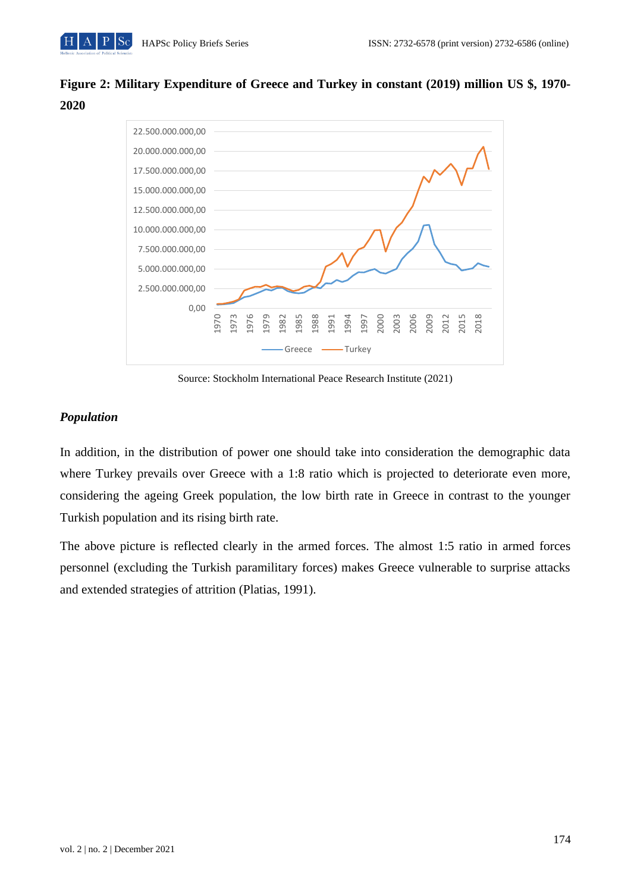# **Figure 2: Military Expenditure of Greece and Turkey in constant (2019) million US \$, 1970- 2020**



Source: Stockholm International Peace Research Institute (2021)

# *Population*

In addition, in the distribution of power one should take into consideration the demographic data where Turkey prevails over Greece with a 1:8 ratio which is projected to deteriorate even more, considering the ageing Greek population, the low birth rate in Greece in contrast to the younger Turkish population and its rising birth rate.

The above picture is reflected clearly in the armed forces. The almost 1:5 ratio in armed forces personnel (excluding the Turkish paramilitary forces) makes Greece vulnerable to surprise attacks and extended strategies of attrition (Platias, 1991).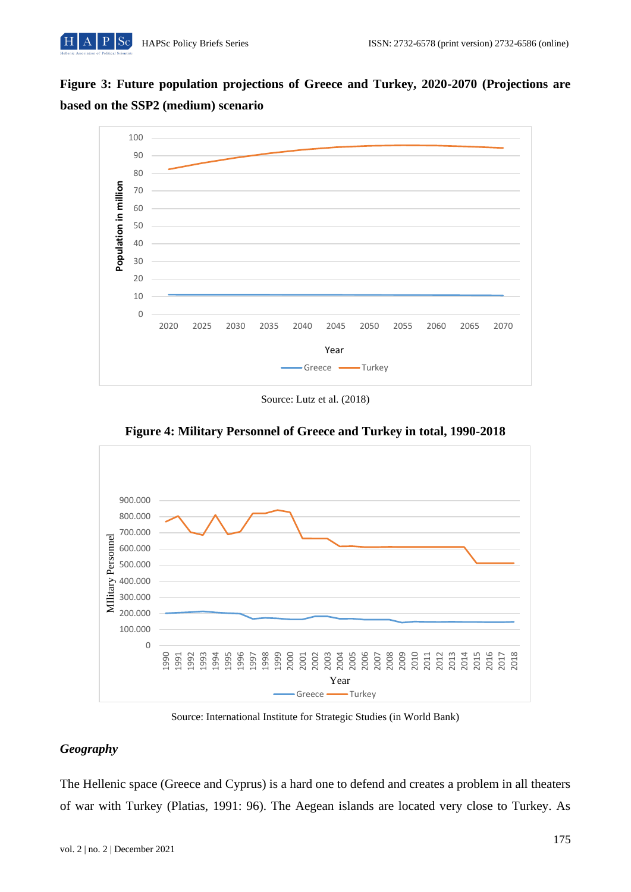



Source: Lutz et al. (2018)



**Figure 4: Military Personnel of Greece and Turkey in total, 1990-2018**

Source: International Institute for Strategic Studies (in World Bank)

# *Geography*

The Hellenic space (Greece and Cyprus) is a hard one to defend and creates a problem in all theaters of war with Turkey (Platias, 1991: 96). The Aegean islands are located very close to Turkey. As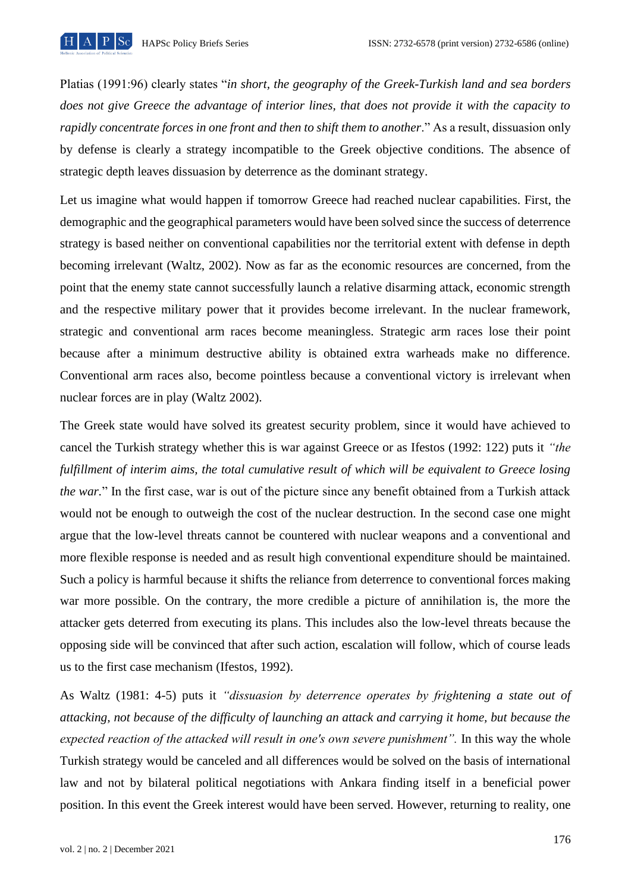

Platias (1991:96) clearly states "*in short, the geography of the Greek-Turkish land and sea borders does not give Greece the advantage of interior lines, that does not provide it with the capacity to rapidly concentrate forces in one front and then to shift them to another.*" As a result, dissuasion only by defense is clearly a strategy incompatible to the Greek objective conditions. The absence of strategic depth leaves dissuasion by deterrence as the dominant strategy.

Let us imagine what would happen if tomorrow Greece had reached nuclear capabilities. First, the demographic and the geographical parameters would have been solved since the success of deterrence strategy is based neither on conventional capabilities nor the territorial extent with defense in depth becoming irrelevant (Waltz, 2002). Now as far as the economic resources are concerned, from the point that the enemy state cannot successfully launch a relative disarming attack, economic strength and the respective military power that it provides become irrelevant. In the nuclear framework, strategic and conventional arm races become meaningless. Strategic arm races lose their point because after a minimum destructive ability is obtained extra warheads make no difference. Conventional arm races also, become pointless because a conventional victory is irrelevant when nuclear forces are in play (Waltz 2002).

The Greek state would have solved its greatest security problem, since it would have achieved to cancel the Turkish strategy whether this is war against Greece or as Ifestos (1992: 122) puts it *"the fulfillment of interim aims, the total cumulative result of which will be equivalent to Greece losing the war.*" In the first case, war is out of the picture since any benefit obtained from a Turkish attack would not be enough to outweigh the cost of the nuclear destruction. In the second case one might argue that the low-level threats cannot be countered with nuclear weapons and a conventional and more flexible response is needed and as result high conventional expenditure should be maintained. Such a policy is harmful because it shifts the reliance from deterrence to conventional forces making war more possible. On the contrary, the more credible a picture of annihilation is, the more the attacker gets deterred from executing its plans. This includes also the low-level threats because the opposing side will be convinced that after such action, escalation will follow, which of course leads us to the first case mechanism (Ifestos, 1992).

As Waltz (1981: 4-5) puts it *"dissuasion by deterrence operates by frightening a state out of attacking, not because of the difficulty of launching an attack and carrying it home, but because the expected reaction of the attacked will result in one's own severe punishment".* In this way the whole Turkish strategy would be canceled and all differences would be solved on the basis of international law and not by bilateral political negotiations with Ankara finding itself in a beneficial power position. In this event the Greek interest would have been served. However, returning to reality, one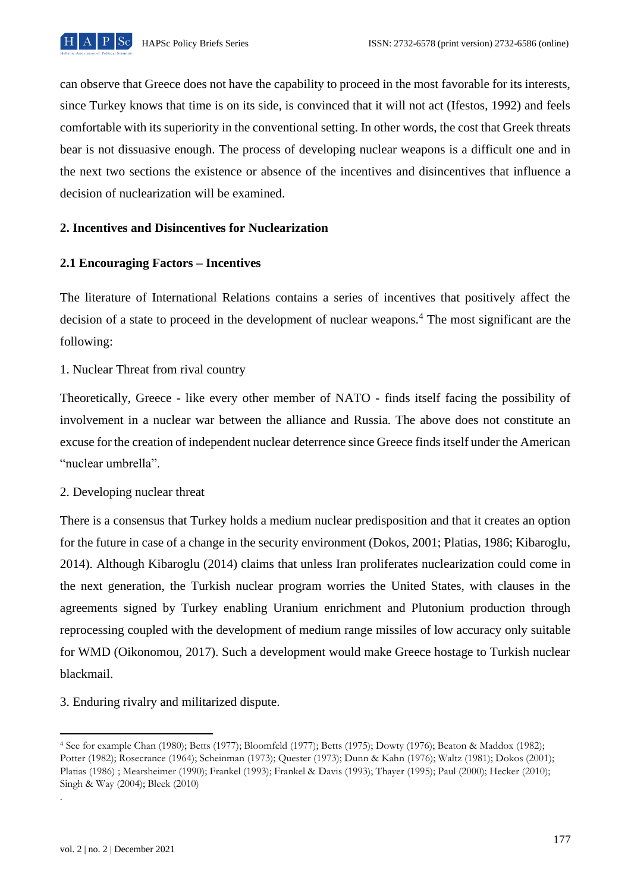

can observe that Greece does not have the capability to proceed in the most favorable for its interests, since Turkey knows that time is on its side, is convinced that it will not act (Ifestos, 1992) and feels comfortable with its superiority in the conventional setting. In other words, the cost that Greek threats bear is not dissuasive enough. The process of developing nuclear weapons is a difficult one and in the next two sections the existence or absence of the incentives and disincentives that influence a decision of nuclearization will be examined.

## **2. Incentives and Disincentives for Nuclearization**

## **2.1 Encouraging Factors – Incentives**

The literature of International Relations contains a series of incentives that positively affect the decision of a state to proceed in the development of nuclear weapons.<sup>4</sup> The most significant are the following:

1. Nuclear Threat from rival country

Theoretically, Greece - like every other member of NATO - finds itself facing the possibility of involvement in a nuclear war between the alliance and Russia. The above does not constitute an excuse for the creation of independent nuclear deterrence since Greece finds itself under the American "nuclear umbrella".

### 2. Developing nuclear threat

There is a consensus that Turkey holds a medium nuclear predisposition and that it creates an option for the future in case of a change in the security environment (Dokos, 2001; Platias, 1986; Kibaroglu, 2014). Although Kibaroglu (2014) claims that unless Iran proliferates nuclearization could come in the next generation, the Turkish nuclear program worries the United States, with clauses in the agreements signed by Turkey enabling Uranium enrichment and Plutonium production through reprocessing coupled with the development of medium range missiles of low accuracy only suitable for WMD (Oikonomou, 2017). Such a development would make Greece hostage to Turkish nuclear blackmail.

3. Enduring rivalry and militarized dispute.

.

<sup>4</sup> See for example Chan (1980); Betts (1977); Bloomfeld (1977); Betts (1975); Dowty (1976); Beaton & Maddox (1982); Potter (1982); Rosecrance (1964); Scheinman (1973); Quester (1973); Dunn & Kahn (1976); Waltz (1981); Dokos (2001); Platias (1986) ; Mearsheimer (1990); Frankel (1993); Frankel & Davis (1993); Thayer (1995); Paul (2000); Hecker (2010); Singh & Way (2004); Bleek (2010)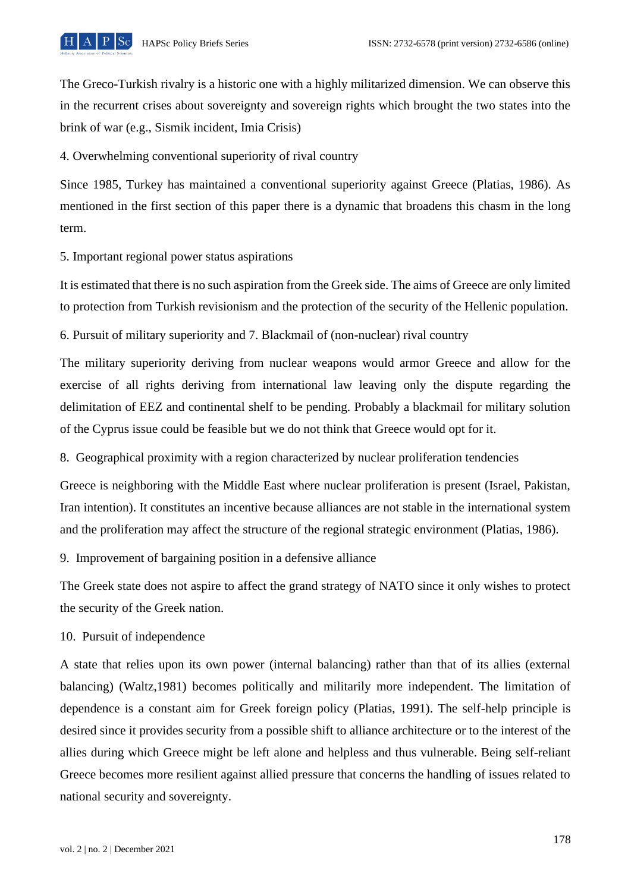

The Greco-Turkish rivalry is a historic one with a highly militarized dimension. We can observe this in the recurrent crises about sovereignty and sovereign rights which brought the two states into the brink of war (e.g., Sismik incident, Imia Crisis)

4. Overwhelming conventional superiority of rival country

Since 1985, Turkey has maintained a conventional superiority against Greece (Platias, 1986). As mentioned in the first section of this paper there is a dynamic that broadens this chasm in the long term.

5. Important regional power status aspirations

It is estimated that there is no such aspiration from the Greek side. The aims of Greece are only limited to protection from Turkish revisionism and the protection of the security of the Hellenic population.

6. Pursuit of military superiority and 7. Blackmail of (non-nuclear) rival country

The military superiority deriving from nuclear weapons would armor Greece and allow for the exercise of all rights deriving from international law leaving only the dispute regarding the delimitation of EEZ and continental shelf to be pending. Probably a blackmail for military solution of the Cyprus issue could be feasible but we do not think that Greece would opt for it.

8. Geographical proximity with a region characterized by nuclear proliferation tendencies

Greece is neighboring with the Middle East where nuclear proliferation is present (Israel, Pakistan, Iran intention). It constitutes an incentive because alliances are not stable in the international system and the proliferation may affect the structure of the regional strategic environment (Platias, 1986).

9. Improvement of bargaining position in a defensive alliance

The Greek state does not aspire to affect the grand strategy of NATO since it only wishes to protect the security of the Greek nation.

10. Pursuit of independence

A state that relies upon its own power (internal balancing) rather than that of its allies (external balancing) (Waltz,1981) becomes politically and militarily more independent. The limitation of dependence is a constant aim for Greek foreign policy (Platias, 1991). The self-help principle is desired since it provides security from a possible shift to alliance architecture or to the interest of the allies during which Greece might be left alone and helpless and thus vulnerable. Being self-reliant Greece becomes more resilient against allied pressure that concerns the handling of issues related to national security and sovereignty.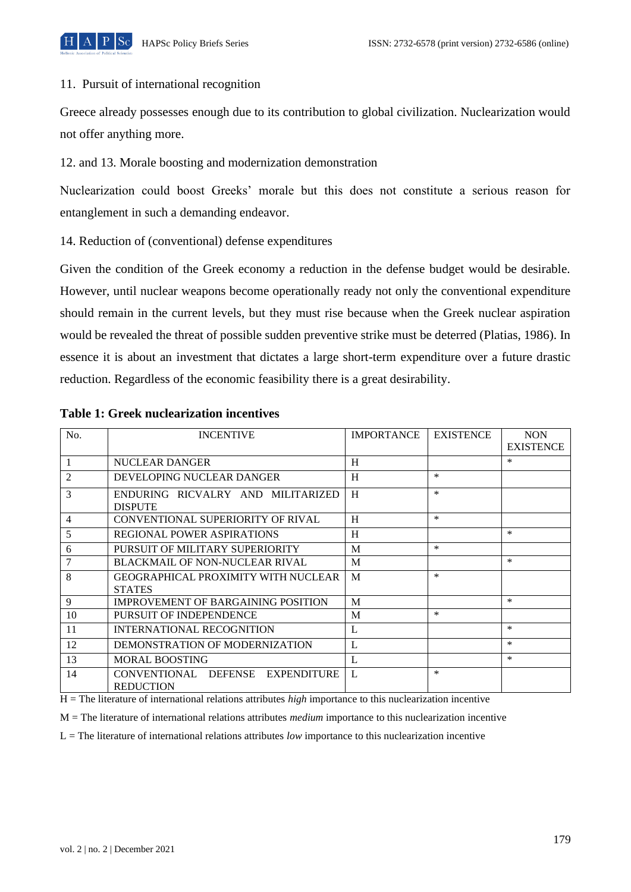

### 11. Pursuit of international recognition

Greece already possesses enough due to its contribution to global civilization. Nuclearization would not offer anything more.

12. and 13. Morale boosting and modernization demonstration

Nuclearization could boost Greeks' morale but this does not constitute a serious reason for entanglement in such a demanding endeavor.

14. Reduction of (conventional) defense expenditures

Given the condition of the Greek economy a reduction in the defense budget would be desirable. However, until nuclear weapons become operationally ready not only the conventional expenditure should remain in the current levels, but they must rise because when the Greek nuclear aspiration would be revealed the threat of possible sudden preventive strike must be deterred (Platias, 1986). In essence it is about an investment that dictates a large short-term expenditure over a future drastic reduction. Regardless of the economic feasibility there is a great desirability.

| No.            | <b>INCENTIVE</b>                                                  | <b>IMPORTANCE</b> | <b>EXISTENCE</b> | <b>NON</b><br><b>EXISTENCE</b> |
|----------------|-------------------------------------------------------------------|-------------------|------------------|--------------------------------|
|                | NUCLEAR DANGER                                                    | H                 |                  | $\ast$                         |
| $\overline{2}$ | DEVELOPING NUCLEAR DANGER                                         | H                 | $\ast$           |                                |
| 3              | ENDURING RICVALRY AND MILITARIZED<br><b>DISPUTE</b>               | H                 | $\ast$           |                                |
| 4              | CONVENTIONAL SUPERIORITY OF RIVAL                                 | H                 | $\ast$           |                                |
| 5              | <b>REGIONAL POWER ASPIRATIONS</b>                                 | H                 |                  | *                              |
| 6              | PURSUIT OF MILITARY SUPERIORITY                                   | M                 | $\ast$           |                                |
| $\overline{7}$ | <b>BLACKMAIL OF NON-NUCLEAR RIVAL</b>                             | M                 |                  | $\ast$                         |
| 8              | <b>GEOGRAPHICAL PROXIMITY WITH NUCLEAR</b><br><b>STATES</b>       | M                 | $\ast$           |                                |
| 9              | <b>IMPROVEMENT OF BARGAINING POSITION</b>                         | M                 |                  | *                              |
| 10             | PURSUIT OF INDEPENDENCE                                           | M                 | *                |                                |
| 11             | INTERNATIONAL RECOGNITION                                         | L                 |                  | *                              |
| 12             | DEMONSTRATION OF MODERNIZATION                                    | L                 |                  | $\ast$                         |
| 13             | <b>MORAL BOOSTING</b>                                             | L                 |                  | *                              |
| 14             | <b>DEFENSE</b><br>CONVENTIONAL<br>EXPENDITURE<br><b>REDUCTION</b> | L                 | $\ast$           |                                |

### **Table 1: Greek nuclearization incentives**

H = The literature of international relations attributes *high* importance to this nuclearization incentive

M = The literature of international relations attributes *medium* importance to this nuclearization incentive

L = The literature of international relations attributes *low* importance to this nuclearization incentive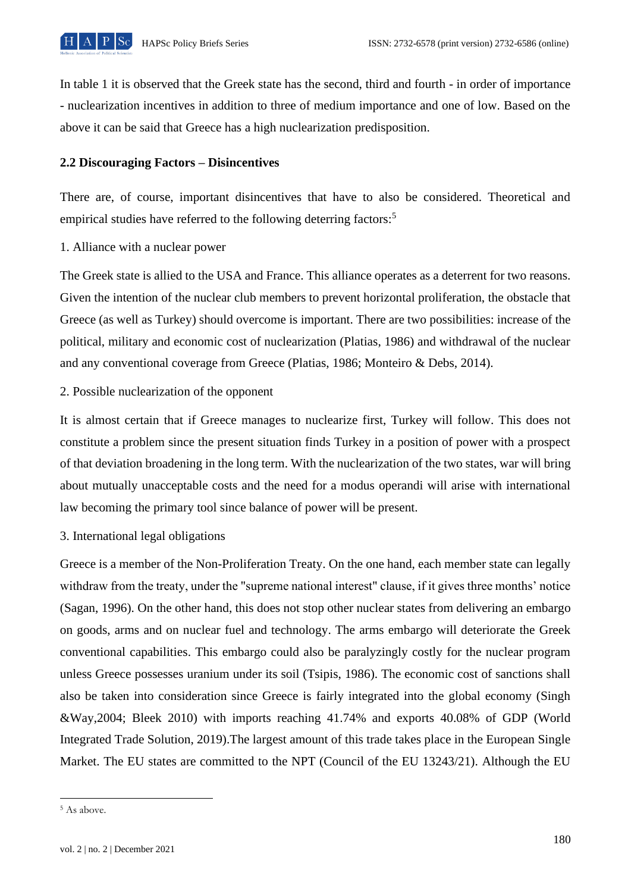

In table 1 it is observed that the Greek state has the second, third and fourth - in order of importance - nuclearization incentives in addition to three of medium importance and one of low. Based on the above it can be said that Greece has a high nuclearization predisposition.

#### **2.2 Discouraging Factors – Disincentives**

There are, of course, important disincentives that have to also be considered. Theoretical and empirical studies have referred to the following deterring factors:<sup>5</sup>

1. Alliance with a nuclear power

The Greek state is allied to the USA and France. This alliance operates as a deterrent for two reasons. Given the intention of the nuclear club members to prevent horizontal proliferation, the obstacle that Greece (as well as Turkey) should overcome is important. There are two possibilities: increase of the political, military and economic cost of nuclearization (Platias, 1986) and withdrawal of the nuclear and any conventional coverage from Greece (Platias, 1986; Monteiro & Debs, 2014).

2. Possible nuclearization of the opponent

It is almost certain that if Greece manages to nuclearize first, Turkey will follow. This does not constitute a problem since the present situation finds Turkey in a position of power with a prospect of that deviation broadening in the long term. With the nuclearization of the two states, war will bring about mutually unacceptable costs and the need for a modus operandi will arise with international law becoming the primary tool since balance of power will be present.

3. International legal obligations

Greece is a member of the Non-Proliferation Treaty. On the one hand, each member state can legally withdraw from the treaty, under the "supreme national interest" clause, if it gives three months' notice (Sagan, 1996). On the other hand, this does not stop other nuclear states from delivering an embargo on goods, arms and on nuclear fuel and technology. The arms embargo will deteriorate the Greek conventional capabilities. This embargo could also be paralyzingly costly for the nuclear program unless Greece possesses uranium under its soil (Tsipis, 1986). The economic cost of sanctions shall also be taken into consideration since Greece is fairly integrated into the global economy (Singh &Way,2004; Bleek 2010) with imports reaching 41.74% and exports 40.08% of GDP (World Integrated Trade Solution, 2019).The largest amount of this trade takes place in the European Single Market. The EU states are committed to the NPT (Council of the EU 13243/21). Although the EU

<sup>5</sup> As above.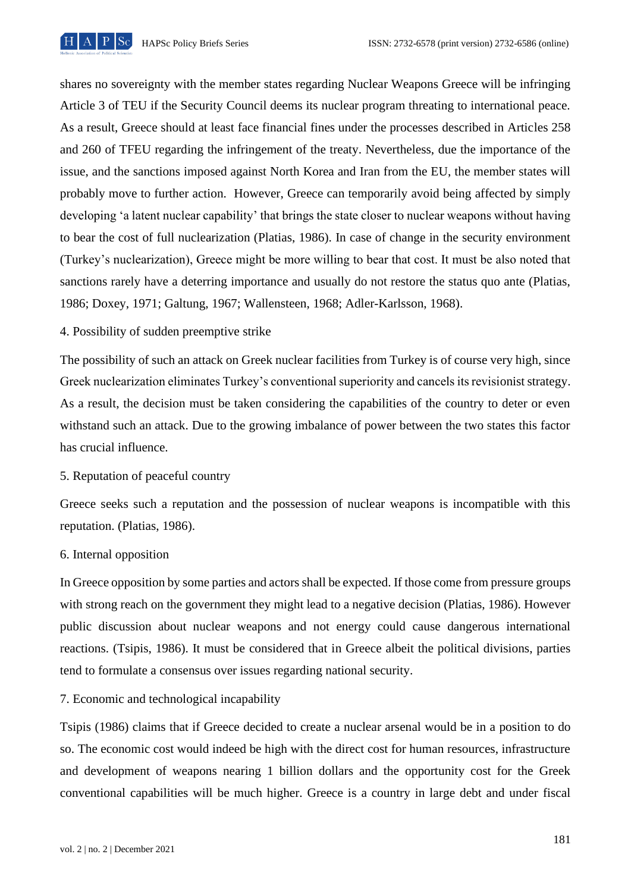

shares no sovereignty with the member states regarding Nuclear Weapons Greece will be infringing Article 3 of TEU if the Security Council deems its nuclear program threating to international peace. As a result, Greece should at least face financial fines under the processes described in Articles 258 and 260 of TFEU regarding the infringement of the treaty. Nevertheless, due the importance of the issue, and the sanctions imposed against North Korea and Iran from the EU, the member states will probably move to further action. However, Greece can temporarily avoid being affected by simply developing 'a latent nuclear capability' that brings the state closer to nuclear weapons without having to bear the cost of full nuclearization (Platias, 1986). In case of change in the security environment (Turkey's nuclearization), Greece might be more willing to bear that cost. It must be also noted that sanctions rarely have a deterring importance and usually do not restore the status quo ante (Platias, 1986; Doxey, 1971; Galtung, 1967; Wallensteen, 1968; Adler-Karlsson, 1968).

4. Possibility of sudden preemptive strike

The possibility of such an attack on Greek nuclear facilities from Turkey is of course very high, since Greek nuclearization eliminates Turkey's conventional superiority and cancels its revisionist strategy. As a result, the decision must be taken considering the capabilities of the country to deter or even withstand such an attack. Due to the growing imbalance of power between the two states this factor has crucial influence.

### 5. Reputation of peaceful country

Greece seeks such a reputation and the possession of nuclear weapons is incompatible with this reputation. (Platias, 1986).

#### 6. Internal opposition

In Greece opposition by some parties and actors shall be expected. If those come from pressure groups with strong reach on the government they might lead to a negative decision (Platias, 1986). However public discussion about nuclear weapons and not energy could cause dangerous international reactions. (Tsipis, 1986). It must be considered that in Greece albeit the political divisions, parties tend to formulate a consensus over issues regarding national security.

7. Economic and technological incapability

Tsipis (1986) claims that if Greece decided to create a nuclear arsenal would be in a position to do so. The economic cost would indeed be high with the direct cost for human resources, infrastructure and development of weapons nearing 1 billion dollars and the opportunity cost for the Greek conventional capabilities will be much higher. Greece is a country in large debt and under fiscal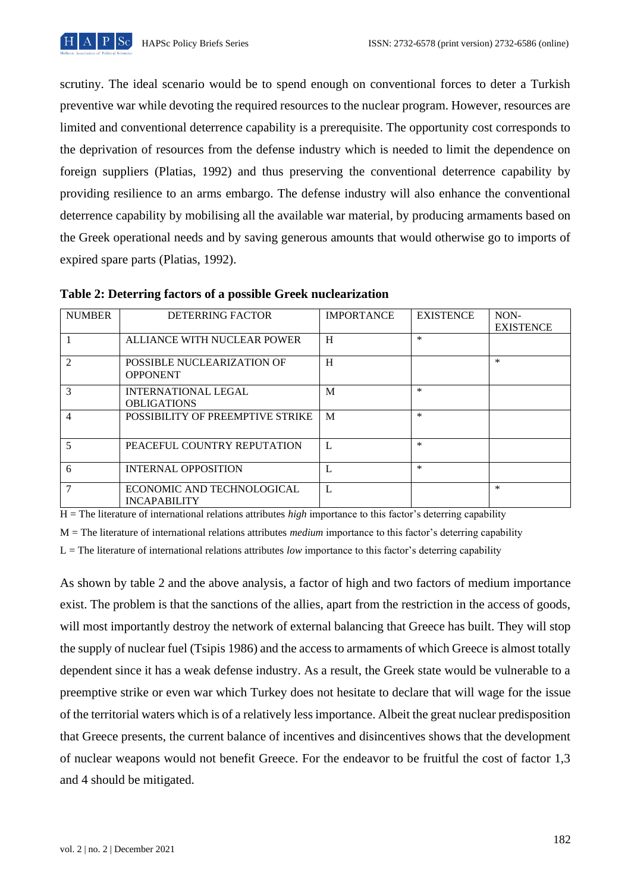scrutiny. The ideal scenario would be to spend enough on conventional forces to deter a Turkish preventive war while devoting the required resources to the nuclear program. However, resources are limited and conventional deterrence capability is a prerequisite. The opportunity cost corresponds to the deprivation of resources from the defense industry which is needed to limit the dependence on foreign suppliers (Platias, 1992) and thus preserving the conventional deterrence capability by providing resilience to an arms embargo. The defense industry will also enhance the conventional deterrence capability by mobilising all the available war material, by producing armaments based on the Greek operational needs and by saving generous amounts that would otherwise go to imports of expired spare parts (Platias, 1992).

| <b>NUMBER</b>  | <b>DETERRING FACTOR</b>                           | <b>IMPORTANCE</b> | <b>EXISTENCE</b> | NON-<br><b>EXISTENCE</b> |
|----------------|---------------------------------------------------|-------------------|------------------|--------------------------|
|                | ALLIANCE WITH NUCLEAR POWER                       | H                 | $\ast$           |                          |
| $\mathfrak{D}$ | POSSIBLE NUCLEARIZATION OF<br><b>OPPONENT</b>     | H                 |                  | $\ast$                   |
| 3              | <b>INTERNATIONAL LEGAL</b><br><b>OBLIGATIONS</b>  | M                 | $\ast$           |                          |
| 4              | POSSIBILITY OF PREEMPTIVE STRIKE                  | M                 | $\ast$           |                          |
| 5              | PEACEFUL COUNTRY REPUTATION                       | L                 | $\ast$           |                          |
| 6              | <b>INTERNAL OPPOSITION</b>                        | L                 | $\ast$           |                          |
| 7              | ECONOMIC AND TECHNOLOGICAL<br><b>INCAPABILITY</b> | L                 |                  | $\ast$                   |

**Table 2: Deterring factors of a possible Greek nuclearization** 

H = The literature of international relations attributes *high* importance to this factor's deterring capability

M = The literature of international relations attributes *medium* importance to this factor's deterring capability

L = The literature of international relations attributes *low* importance to this factor's deterring capability

As shown by table 2 and the above analysis, a factor of high and two factors of medium importance exist. The problem is that the sanctions of the allies, apart from the restriction in the access of goods, will most importantly destroy the network of external balancing that Greece has built. They will stop the supply of nuclear fuel (Tsipis 1986) and the access to armaments of which Greece is almost totally dependent since it has a weak defense industry. As a result, the Greek state would be vulnerable to a preemptive strike or even war which Turkey does not hesitate to declare that will wage for the issue of the territorial waters which is of a relatively less importance. Albeit the great nuclear predisposition that Greece presents, the current balance of incentives and disincentives shows that the development of nuclear weapons would not benefit Greece. For the endeavor to be fruitful the cost of factor 1,3 and 4 should be mitigated.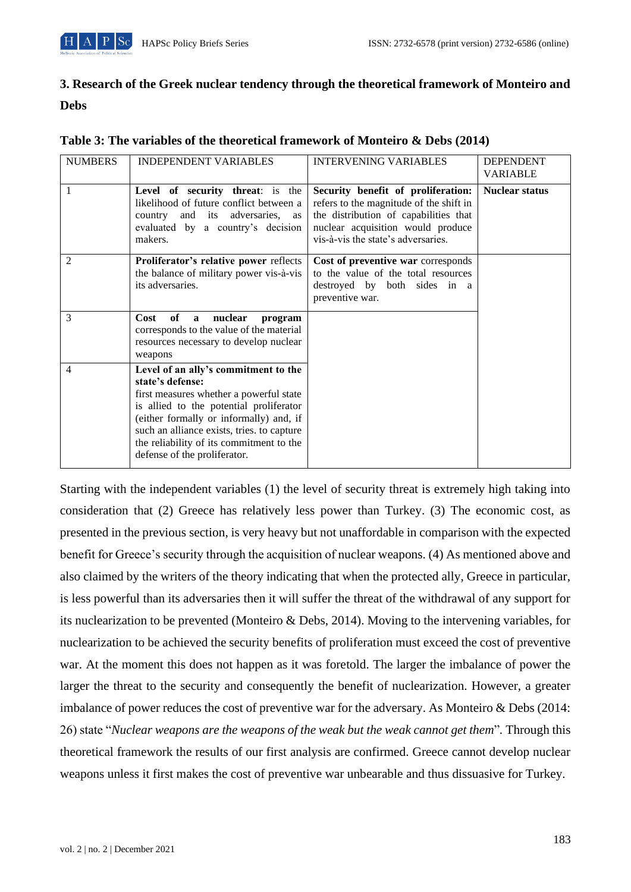# **3. Research of the Greek nuclear tendency through the theoretical framework of Monteiro and Debs**

| <b>NUMBERS</b> | <b>INDEPENDENT VARIABLES</b>                                                                                                                                                                                                                                                                                        | <b>INTERVENING VARIABLES</b>                                                                                                                                                                      | <b>DEPENDENT</b><br><b>VARIABLE</b> |
|----------------|---------------------------------------------------------------------------------------------------------------------------------------------------------------------------------------------------------------------------------------------------------------------------------------------------------------------|---------------------------------------------------------------------------------------------------------------------------------------------------------------------------------------------------|-------------------------------------|
| 1              | Level of security threat: is the<br>likelihood of future conflict between a<br>and its adversaries, as<br>country<br>evaluated by a country's decision<br>makers.                                                                                                                                                   | Security benefit of proliferation:<br>refers to the magnitude of the shift in<br>the distribution of capabilities that<br>nuclear acquisition would produce<br>vis-à-vis the state's adversaries. | <b>Nuclear status</b>               |
| $\overline{2}$ | Proliferator's relative power reflects<br>the balance of military power vis-à-vis<br>its adversaries.                                                                                                                                                                                                               | Cost of preventive war corresponds<br>to the value of the total resources<br>destroyed by both sides in a<br>preventive war.                                                                      |                                     |
| 3              | Cost<br>of<br>nuclear<br>a<br>program<br>corresponds to the value of the material<br>resources necessary to develop nuclear<br>weapons                                                                                                                                                                              |                                                                                                                                                                                                   |                                     |
| 4              | Level of an ally's commitment to the<br>state's defense:<br>first measures whether a powerful state<br>is allied to the potential proliferator<br>(either formally or informally) and, if<br>such an alliance exists, tries. to capture<br>the reliability of its commitment to the<br>defense of the proliferator. |                                                                                                                                                                                                   |                                     |

#### **Table 3: The variables of the theoretical framework of Monteiro & Debs (2014)**

Starting with the independent variables (1) the level of security threat is extremely high taking into consideration that (2) Greece has relatively less power than Turkey. (3) The economic cost, as presented in the previous section, is very heavy but not unaffordable in comparison with the expected benefit for Greece's security through the acquisition of nuclear weapons. (4) As mentioned above and also claimed by the writers of the theory indicating that when the protected ally, Greece in particular, is less powerful than its adversaries then it will suffer the threat of the withdrawal of any support for its nuclearization to be prevented (Monteiro & Debs, 2014). Moving to the intervening variables, for nuclearization to be achieved the security benefits of proliferation must exceed the cost of preventive war. At the moment this does not happen as it was foretold. The larger the imbalance of power the larger the threat to the security and consequently the benefit of nuclearization. However, a greater imbalance of power reduces the cost of preventive war for the adversary. As Monteiro & Debs (2014: 26) state "*Nuclear weapons are the weapons of the weak but the weak cannot get them*"*.* Through this theoretical framework the results of our first analysis are confirmed. Greece cannot develop nuclear weapons unless it first makes the cost of preventive war unbearable and thus dissuasive for Turkey.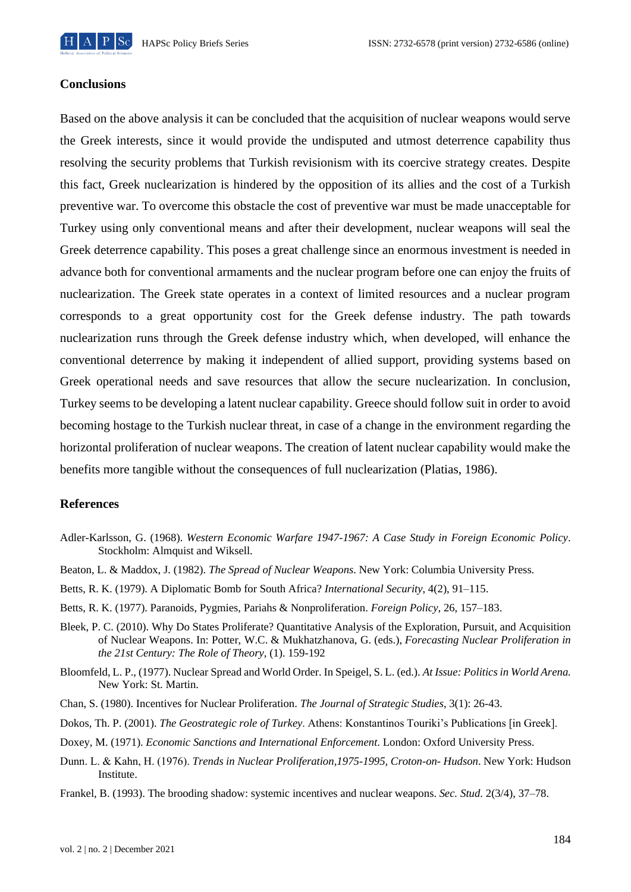

#### **Conclusions**

Based on the above analysis it can be concluded that the acquisition of nuclear weapons would serve the Greek interests, since it would provide the undisputed and utmost deterrence capability thus resolving the security problems that Turkish revisionism with its coercive strategy creates. Despite this fact, Greek nuclearization is hindered by the opposition of its allies and the cost of a Turkish preventive war. To overcome this obstacle the cost of preventive war must be made unacceptable for Turkey using only conventional means and after their development, nuclear weapons will seal the Greek deterrence capability. This poses a great challenge since an enormous investment is needed in advance both for conventional armaments and the nuclear program before one can enjoy the fruits of nuclearization. The Greek state operates in a context of limited resources and a nuclear program corresponds to a great opportunity cost for the Greek defense industry. The path towards nuclearization runs through the Greek defense industry which, when developed, will enhance the conventional deterrence by making it independent of allied support, providing systems based on Greek operational needs and save resources that allow the secure nuclearization. In conclusion, Turkey seems to be developing a latent nuclear capability. Greece should follow suit in order to avoid becoming hostage to the Turkish nuclear threat, in case of a change in the environment regarding the horizontal proliferation of nuclear weapons. The creation of latent nuclear capability would make the benefits more tangible without the consequences of full nuclearization (Platias, 1986).

#### **References**

- Adler-Karlsson, G. (1968). *Western Economic Warfare 1947-1967: A Case Study in Foreign Economic Policy*. Stockholm: Almquist and Wiksell.
- Beaton, L. & Maddox, J. (1982). *The Spread of Nuclear Weapons*. New York: Columbia University Press.
- Betts, R. K. (1979). A Diplomatic Bomb for South Africa? *International Security*, 4(2), 91–115.
- Betts, R. K. (1977). Paranoids, Pygmies, Pariahs & Nonproliferation. *Foreign Policy*, 26, 157–183.
- Bleek, P. C. (2010). Why Do States Proliferate? Quantitative Analysis of the Exploration, Pursuit, and Acquisition of Nuclear Weapons. In: Potter, W.C. & Mukhatzhanova, G. (eds.), *Forecasting Nuclear Proliferation in the 21st Century: The Role of Theory*, (1). 159-192
- Bloomfeld, L. P., (1977). Nuclear Spread and World Order. In Speigel, S. L. (ed.). *At Issue: Politics in World Arena.* New York: St. Martin.
- Chan, S. (1980). Incentives for Nuclear Proliferation. *The Journal of Strategic Studies*, 3(1): 26-43.
- Dokos, Th. P. (2001). *The Geostrategic role of Turkey*. Athens: Konstantinos Touriki's Publications [in Greek].
- Doxey, M. (1971). *Economic Sanctions and International Enforcement*. London: Oxford University Press.
- Dunn. L. & Kahn, Η. (1976). *Trends in Nuclear Proliferation,1975-1995, Croton-on- Hudson*. New York: Hudson Institute.
- Frankel, B. (1993). The brooding shadow: systemic incentives and nuclear weapons. *Sec. Stud*. 2(3/4), 37–78.